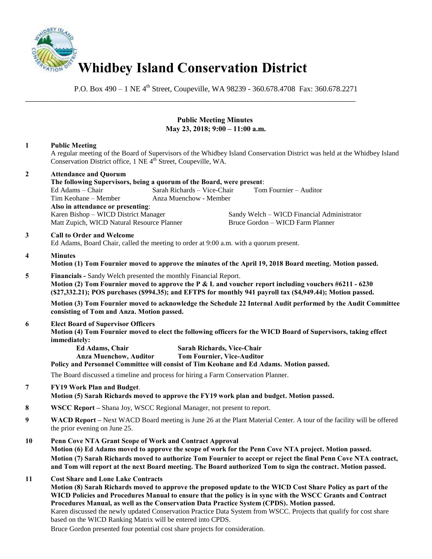

P.O. Box 490 – 1 NE 4<sup>th</sup> Street, Coupeville, WA 98239 - 360.678.4708 Fax: 360.678.2271

\_\_\_\_\_\_\_\_\_\_\_\_\_\_\_\_\_\_\_\_\_\_\_\_\_\_\_\_\_\_\_\_\_\_\_\_\_\_\_\_\_\_\_\_\_\_\_\_\_\_\_\_\_\_\_\_\_\_\_\_\_\_\_\_\_\_\_\_\_\_\_\_\_\_\_\_\_\_

## **Public Meeting Minutes May 23, 2018; 9:00 – 11:00 a.m.**

# **1 Public Meeting**

A regular meeting of the Board of Supervisors of the Whidbey Island Conservation District was held at the Whidbey Island Conservation District office, 1 NE 4<sup>th</sup> Street, Coupeville, WA.

| $\overline{2}$ | <b>Attendance and Quorum</b>                                                                                                                                                                                                                                                                                                                                                                                                                                                                                                                               |                                                                 |                                                                                         |  |
|----------------|------------------------------------------------------------------------------------------------------------------------------------------------------------------------------------------------------------------------------------------------------------------------------------------------------------------------------------------------------------------------------------------------------------------------------------------------------------------------------------------------------------------------------------------------------------|-----------------------------------------------------------------|-----------------------------------------------------------------------------------------|--|
|                | The following Supervisors, being a quorum of the Board, were present:<br>Ed Adams – Chair                                                                                                                                                                                                                                                                                                                                                                                                                                                                  | Sarah Richards - Vice-Chair                                     | Tom Fournier – Auditor                                                                  |  |
|                | Tim Keohane - Member                                                                                                                                                                                                                                                                                                                                                                                                                                                                                                                                       | Anza Muenchow - Member                                          |                                                                                         |  |
|                | Also in attendance or presenting:                                                                                                                                                                                                                                                                                                                                                                                                                                                                                                                          |                                                                 |                                                                                         |  |
|                | Karen Bishop - WICD District Manager                                                                                                                                                                                                                                                                                                                                                                                                                                                                                                                       |                                                                 | Sandy Welch – WICD Financial Administrator                                              |  |
|                | Matt Zupich, WICD Natural Resource Planner                                                                                                                                                                                                                                                                                                                                                                                                                                                                                                                 |                                                                 | Bruce Gordon - WICD Farm Planner                                                        |  |
| $\mathbf{3}$   | <b>Call to Order and Welcome</b><br>Ed Adams, Board Chair, called the meeting to order at 9:00 a.m. with a quorum present.                                                                                                                                                                                                                                                                                                                                                                                                                                 |                                                                 |                                                                                         |  |
| 4              | <b>Minutes</b><br>Motion (1) Tom Fournier moved to approve the minutes of the April 19, 2018 Board meeting. Motion passed.                                                                                                                                                                                                                                                                                                                                                                                                                                 |                                                                 |                                                                                         |  |
| 5              | Financials - Sandy Welch presented the monthly Financial Report.                                                                                                                                                                                                                                                                                                                                                                                                                                                                                           |                                                                 |                                                                                         |  |
|                | Motion (2) Tom Fournier moved to approve the P & L and voucher report including vouchers #6211 - 6230<br>(\$27,332.21); POS purchases (\$994.35); and EFTPS for monthly 941 payroll tax (\$4,949.44); Motion passed.                                                                                                                                                                                                                                                                                                                                       |                                                                 |                                                                                         |  |
|                | Motion (3) Tom Fournier moved to acknowledge the Schedule 22 Internal Audit performed by the Audit Committee<br>consisting of Tom and Anza. Motion passed.                                                                                                                                                                                                                                                                                                                                                                                                 |                                                                 |                                                                                         |  |
| 6              | <b>Elect Board of Supervisor Officers</b><br>Motion (4) Tom Fournier moved to elect the following officers for the WICD Board of Supervisors, taking effect<br>immediately:                                                                                                                                                                                                                                                                                                                                                                                |                                                                 |                                                                                         |  |
|                | Ed Adams, Chair<br><b>Anza Muenchow, Auditor</b>                                                                                                                                                                                                                                                                                                                                                                                                                                                                                                           | Sarah Richards, Vice-Chair<br><b>Tom Fournier, Vice-Auditor</b> | Policy and Personnel Committee will consist of Tim Keohane and Ed Adams. Motion passed. |  |
|                | The Board discussed a timeline and process for hiring a Farm Conservation Planner.                                                                                                                                                                                                                                                                                                                                                                                                                                                                         |                                                                 |                                                                                         |  |
| $\overline{7}$ | <b>FY19 Work Plan and Budget.</b><br>Motion (5) Sarah Richards moved to approve the FY19 work plan and budget. Motion passed.                                                                                                                                                                                                                                                                                                                                                                                                                              |                                                                 |                                                                                         |  |
| 8              | WSCC Report – Shana Joy, WSCC Regional Manager, not present to report.                                                                                                                                                                                                                                                                                                                                                                                                                                                                                     |                                                                 |                                                                                         |  |
| 9              | WACD Report – Next WACD Board meeting is June 26 at the Plant Material Center. A tour of the facility will be offered<br>the prior evening on June 25.                                                                                                                                                                                                                                                                                                                                                                                                     |                                                                 |                                                                                         |  |
| 10             | Penn Cove NTA Grant Scope of Work and Contract Approval<br>Motion (6) Ed Adams moved to approve the scope of work for the Penn Cove NTA project. Motion passed.                                                                                                                                                                                                                                                                                                                                                                                            |                                                                 |                                                                                         |  |
|                | Motion (7) Sarah Richards moved to authorize Tom Fournier to accept or reject the final Penn Cove NTA contract,<br>and Tom will report at the next Board meeting. The Board authorized Tom to sign the contract. Motion passed.                                                                                                                                                                                                                                                                                                                            |                                                                 |                                                                                         |  |
| 11             | <b>Cost Share and Lone Lake Contracts</b><br>Motion (8) Sarah Richards moved to approve the proposed update to the WICD Cost Share Policy as part of the<br>WICD Policies and Procedures Manual to ensure that the policy is in sync with the WSCC Grants and Contract<br>Procedures Manual, as well as the Conservation Data Practice System (CPDS). Motion passed.<br>Karen discussed the newly updated Conservation Practice Data System from WSCC. Projects that qualify for cost share<br>based on the WICD Ranking Matrix will be entered into CPDS. |                                                                 |                                                                                         |  |
|                | $\alpha$ 1 $\beta$ 10 $\beta$ 11 $\beta$ 1 $\beta$                                                                                                                                                                                                                                                                                                                                                                                                                                                                                                         |                                                                 | the contract of the contract of                                                         |  |

Bruce Gordon presented four potential cost share projects for consideration.